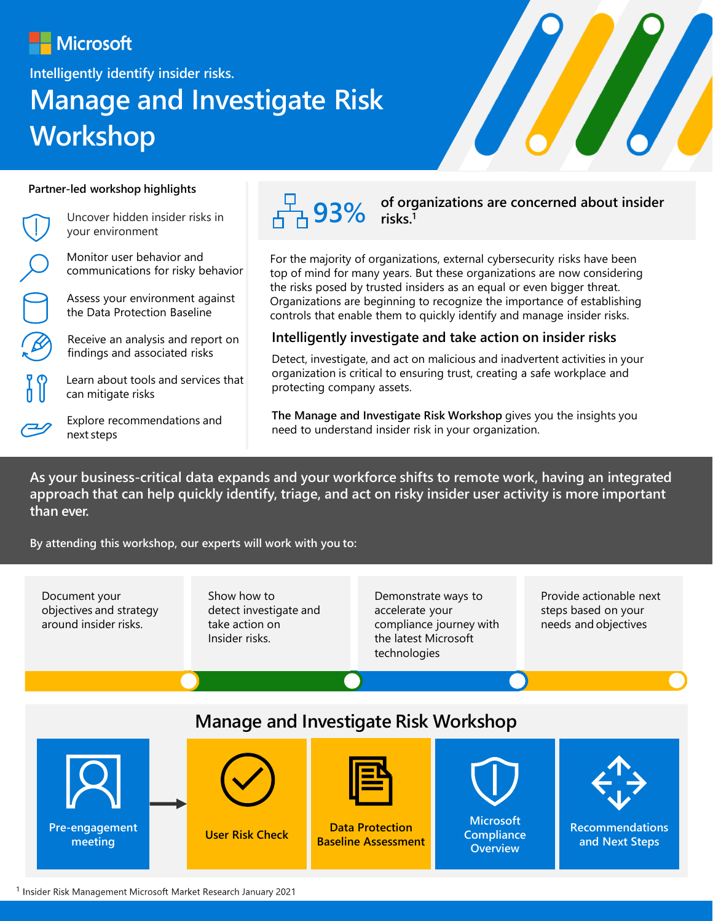## **Microsoft**

**Intelligently identify insider risks.**

# **Manage and Investigate Risk Workshop**



#### **Partner-led workshop highlights**

Uncover hidden insider risks in your environment

Monitor user behavior and communications for risky behavior

Assess your environment against the Data Protection Baseline

Receive an analysis and report on findings and associated risks

Learn about tools and services that can mitigate risks

Explore recommendations and next steps



**93% of organizations are concerned about insider risks.<sup>1</sup>**

For the majority of organizations, external cybersecurity risks have been top of mind for many years. But these organizations are now considering the risks posed by trusted insiders as an equal or even bigger threat. Organizations are beginning to recognize the importance of establishing controls that enable them to quickly identify and manage insider risks.

#### **Intelligently investigate and take action on insider risks**

Detect, investigate, and act on malicious and inadvertent activities in your organization is critical to ensuring trust, creating a safe workplace and protecting company assets.

**The Manage and Investigate Risk Workshop** gives you the insights you need to understand insider risk in your organization.

**As your business-critical data expands and your workforce shifts to remote work, having an integrated approach that can help quickly identify, triage, and act on risky insider user activity is more important than ever.**

**By attending this workshop, our experts will work with you to:**

Document your objectives and strategy around insider risks.

Show how to detect investigate and take action on Insider risks.

Demonstrate ways to accelerate your compliance journey with the latest Microsoft technologies

Provide actionable next steps based on your needs and objectives

### **Manage and Investigate Risk Workshop**